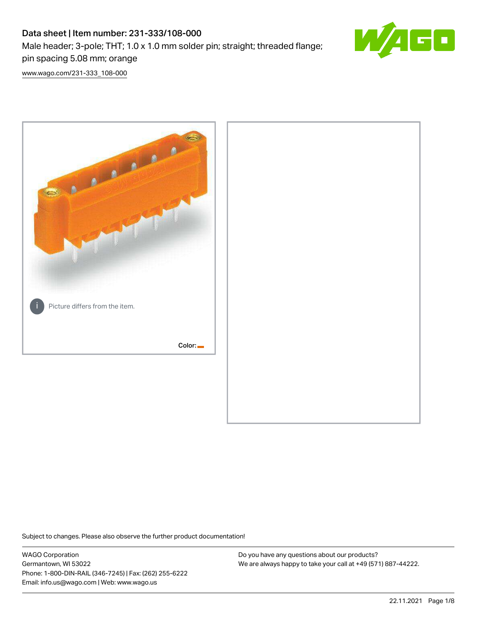# Data sheet | Item number: 231-333/108-000 Male header; 3-pole; THT; 1.0 x 1.0 mm solder pin; straight; threaded flange; pin spacing 5.08 mm; orange



[www.wago.com/231-333\\_108-000](http://www.wago.com/231-333_108-000)



Subject to changes. Please also observe the further product documentation!

WAGO Corporation Germantown, WI 53022 Phone: 1-800-DIN-RAIL (346-7245) | Fax: (262) 255-6222 Email: info.us@wago.com | Web: www.wago.us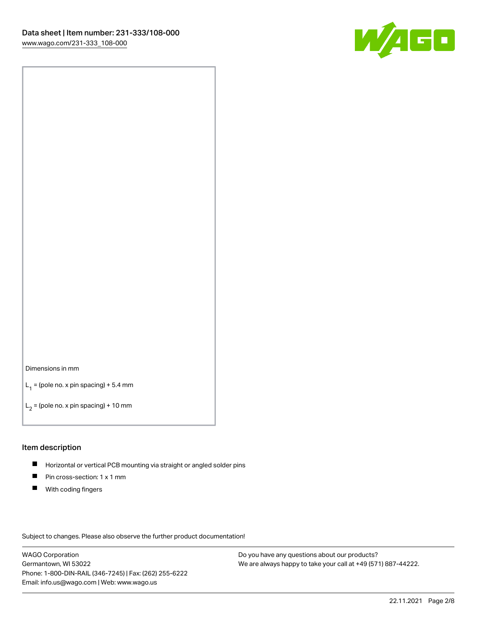

#### Dimensions in mm

 $L_1$  = (pole no. x pin spacing) + 5.4 mm

 $L_2$  = (pole no. x pin spacing) + 10 mm

#### Item description

- $\blacksquare$ Horizontal or vertical PCB mounting via straight or angled solder pins
- $\blacksquare$ Pin cross-section: 1 x 1 mm
- $\blacksquare$ With coding fingers

Subject to changes. Please also observe the further product documentation!

WAGO Corporation Germantown, WI 53022 Phone: 1-800-DIN-RAIL (346-7245) | Fax: (262) 255-6222 Email: info.us@wago.com | Web: www.wago.us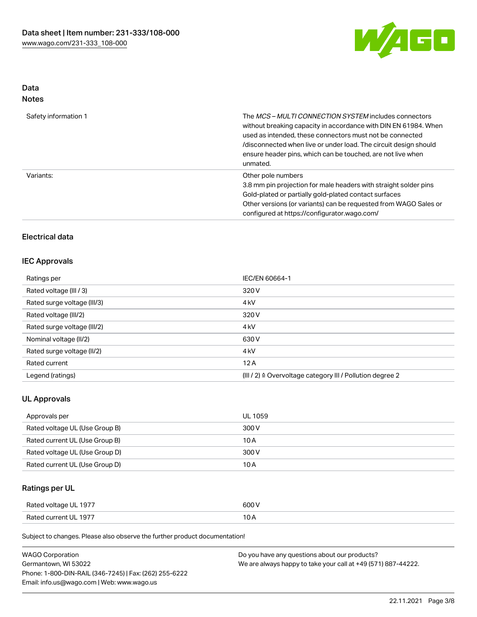

# Data Notes

| Safety information 1 | The <i>MCS – MULTI CONNECTION SYSTEM</i> includes connectors<br>without breaking capacity in accordance with DIN EN 61984. When<br>used as intended, these connectors must not be connected<br>/disconnected when live or under load. The circuit design should<br>ensure header pins, which can be touched, are not live when<br>unmated. |
|----------------------|--------------------------------------------------------------------------------------------------------------------------------------------------------------------------------------------------------------------------------------------------------------------------------------------------------------------------------------------|
| Variants:            | Other pole numbers<br>3.8 mm pin projection for male headers with straight solder pins<br>Gold-plated or partially gold-plated contact surfaces<br>Other versions (or variants) can be requested from WAGO Sales or<br>configured at https://configurator.wago.com/                                                                        |

# Electrical data

# IEC Approvals

| Ratings per                 | IEC/EN 60664-1                                            |
|-----------------------------|-----------------------------------------------------------|
| Rated voltage (III / 3)     | 320 V                                                     |
| Rated surge voltage (III/3) | 4 <sub>kV</sub>                                           |
| Rated voltage (III/2)       | 320 V                                                     |
| Rated surge voltage (III/2) | 4 <sub>kV</sub>                                           |
| Nominal voltage (II/2)      | 630 V                                                     |
| Rated surge voltage (II/2)  | 4 <sub>kV</sub>                                           |
| Rated current               | 12A                                                       |
| Legend (ratings)            | (III / 2) ≙ Overvoltage category III / Pollution degree 2 |

# UL Approvals

| Approvals per                  | UL 1059 |
|--------------------------------|---------|
| Rated voltage UL (Use Group B) | 300 V   |
| Rated current UL (Use Group B) | 10 A    |
| Rated voltage UL (Use Group D) | 300 V   |
| Rated current UL (Use Group D) | 10 A    |

# Ratings per UL

| Rated voltage UL 1977 | 600 V |
|-----------------------|-------|
| Rated current UL 1977 |       |

Subject to changes. Please also observe the further product documentation!

| <b>WAGO Corporation</b>                                | Do you have any questions about our products?                 |
|--------------------------------------------------------|---------------------------------------------------------------|
| Germantown, WI 53022                                   | We are always happy to take your call at +49 (571) 887-44222. |
| Phone: 1-800-DIN-RAIL (346-7245)   Fax: (262) 255-6222 |                                                               |
| Email: info.us@wago.com   Web: www.wago.us             |                                                               |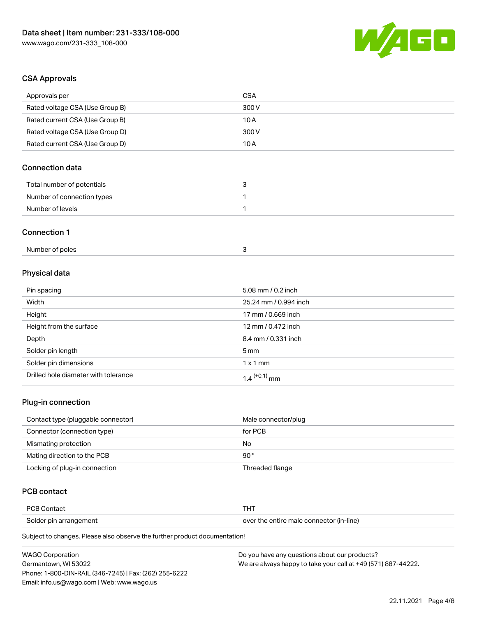

## CSA Approvals

| Approvals per                   | <b>CSA</b>            |
|---------------------------------|-----------------------|
| Rated voltage CSA (Use Group B) | 300 V                 |
| Rated current CSA (Use Group B) | 10A                   |
| Rated voltage CSA (Use Group D) | 300 V                 |
| Rated current CSA (Use Group D) | 10A                   |
| <b>Connection data</b>          |                       |
| Total number of potentials      | 3                     |
| Number of connection types      | 1                     |
| Number of levels                | $\mathbf{1}$          |
| <b>Connection 1</b>             |                       |
| Number of poles                 | 3                     |
| Physical data                   |                       |
| Pin spacing                     | 5.08 mm / 0.2 inch    |
| Width                           | 25.24 mm / 0.994 inch |
| Height                          | 17 mm / 0.669 inch    |

| Pin spacing                          | 5.08 mm / $0.2$ inch       |
|--------------------------------------|----------------------------|
| Width                                | 25.24 mm / 0.994 inch      |
| Height                               | 17 mm / 0.669 inch         |
| Height from the surface              | 12 mm / 0.472 inch         |
| Depth                                | 8.4 mm / 0.331 inch        |
| Solder pin length                    | $5 \,\mathrm{mm}$          |
| Solder pin dimensions                | $1 \times 1$ mm            |
| Drilled hole diameter with tolerance | $1.4$ <sup>(+0.1)</sup> mm |

# Plug-in connection

| Contact type (pluggable connector) | Male connector/plug |
|------------------------------------|---------------------|
| Connector (connection type)        | for PCB             |
| Mismating protection               | No                  |
| Mating direction to the PCB        | $90^{\circ}$        |
| Locking of plug-in connection      | Threaded flange     |

# PCB contact

| PCB Contact            | THT                                      |
|------------------------|------------------------------------------|
| Solder pin arrangement | over the entire male connector (in-line) |

Subject to changes. Please also observe the further product documentation!

| <b>WAGO Corporation</b>                                | Do you have any questions about our products?                 |
|--------------------------------------------------------|---------------------------------------------------------------|
| Germantown, WI 53022                                   | We are always happy to take your call at +49 (571) 887-44222. |
| Phone: 1-800-DIN-RAIL (346-7245)   Fax: (262) 255-6222 |                                                               |
| Email: info.us@wago.com   Web: www.wago.us             |                                                               |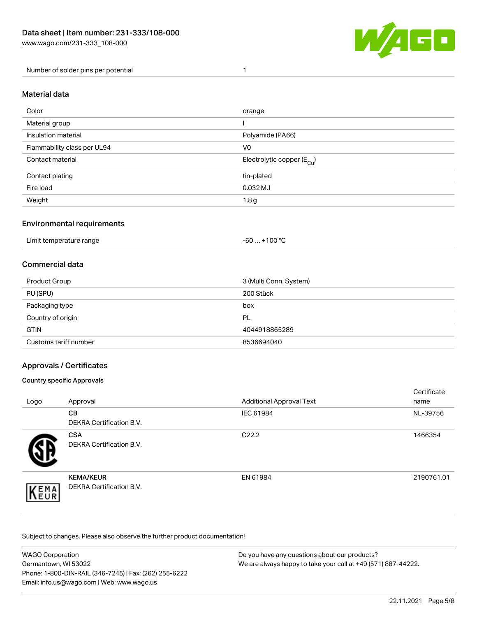

#### Number of solder pins per potential 1

#### Material data

| Color                       | orange                                 |
|-----------------------------|----------------------------------------|
| Material group              |                                        |
| Insulation material         | Polyamide (PA66)                       |
| Flammability class per UL94 | V <sub>0</sub>                         |
| Contact material            | Electrolytic copper (E <sub>Cu</sub> ) |
| Contact plating             | tin-plated                             |
| Fire load                   | 0.032 MJ                               |
| Weight                      | 1.8 <sub>g</sub>                       |

#### Environmental requirements

Limit temperature range  $-60...+100 °C$ 

#### Commercial data

| Product Group         | 3 (Multi Conn. System) |
|-----------------------|------------------------|
| PU (SPU)              | 200 Stück              |
| Packaging type        | box                    |
| Country of origin     | <b>PL</b>              |
| <b>GTIN</b>           | 4044918865289          |
| Customs tariff number | 8536694040             |

## Approvals / Certificates

#### Country specific Approvals

| Logo                | Approval                                     | <b>Additional Approval Text</b> | Certificate<br>name |
|---------------------|----------------------------------------------|---------------------------------|---------------------|
|                     | <b>CB</b><br><b>DEKRA Certification B.V.</b> | IEC 61984                       | NL-39756            |
|                     | <b>CSA</b><br>DEKRA Certification B.V.       | C <sub>22.2</sub>               | 1466354             |
| EMA<br><b>INEUR</b> | <b>KEMA/KEUR</b><br>DEKRA Certification B.V. | EN 61984                        | 2190761.01          |

Subject to changes. Please also observe the further product documentation!

| <b>WAGO Corporation</b>                                | Do you have any questions about our products?                 |
|--------------------------------------------------------|---------------------------------------------------------------|
| Germantown, WI 53022                                   | We are always happy to take your call at +49 (571) 887-44222. |
| Phone: 1-800-DIN-RAIL (346-7245)   Fax: (262) 255-6222 |                                                               |
| Email: info.us@wago.com   Web: www.wago.us             |                                                               |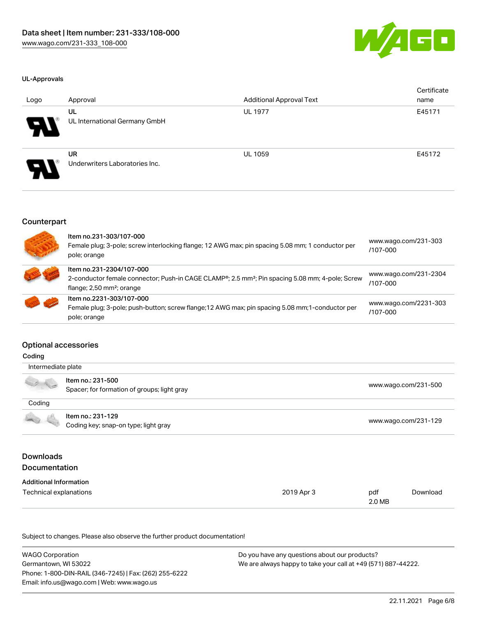

#### UL-Approvals

| Logo | Approval                                    | <b>Additional Approval Text</b> | Certificate<br>name |
|------|---------------------------------------------|---------------------------------|---------------------|
| Я.   | UL<br>UL International Germany GmbH         | <b>UL 1977</b>                  | E45171              |
| P.   | <b>UR</b><br>Underwriters Laboratories Inc. | <b>UL 1059</b>                  | E45172              |

#### Counterpart

| Item no.231-303/107-000<br>Female plug; 3-pole; screw interlocking flange; 12 AWG max; pin spacing 5.08 mm; 1 conductor per<br>pole; orange                                        | www.wago.com/231-303<br>/107-000  |
|------------------------------------------------------------------------------------------------------------------------------------------------------------------------------------|-----------------------------------|
| Item no.231-2304/107-000<br>2-conductor female connector; Push-in CAGE CLAMP®; 2.5 mm <sup>2</sup> ; Pin spacing 5.08 mm; 4-pole; Screw<br>flange; $2,50$ mm <sup>2</sup> ; orange | www.wago.com/231-2304<br>/107-000 |
| Item no.2231-303/107-000<br>Female plug; 3-pole; push-button; screw flange; 12 AWG max; pin spacing 5.08 mm; 1-conductor per<br>pole; orange                                       | www.wago.com/2231-303<br>/107-000 |

#### Optional accessories

| Intermediate plate                       |                                                                  |            |     |                      |  |  |
|------------------------------------------|------------------------------------------------------------------|------------|-----|----------------------|--|--|
|                                          | Item no.: 231-500<br>Spacer; for formation of groups; light gray |            |     | www.wago.com/231-500 |  |  |
| Coding                                   |                                                                  |            |     |                      |  |  |
|                                          | Item no.: 231-129<br>Coding key; snap-on type; light gray        |            |     | www.wago.com/231-129 |  |  |
| <b>Downloads</b><br><b>Documentation</b> |                                                                  |            |     |                      |  |  |
|                                          |                                                                  |            |     |                      |  |  |
| <b>Additional Information</b>            |                                                                  |            |     |                      |  |  |
| Technical explanations                   |                                                                  | 2019 Apr 3 | pdf | Download             |  |  |

Subject to changes. Please also observe the further product documentation!

| <b>WAGO Corporation</b>                                | Do you have any questions about our products?                 |
|--------------------------------------------------------|---------------------------------------------------------------|
| Germantown, WI 53022                                   | We are always happy to take your call at +49 (571) 887-44222. |
| Phone: 1-800-DIN-RAIL (346-7245)   Fax: (262) 255-6222 |                                                               |
| Email: info.us@wago.com   Web: www.wago.us             |                                                               |

2.0 MB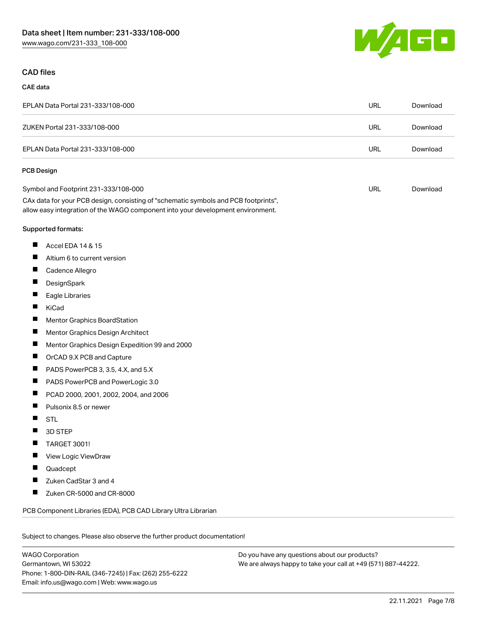

# CAD files

#### CAE data

| EPLAN Data Portal 231-333/108-000 | URL | Download |
|-----------------------------------|-----|----------|
| ZUKEN Portal 231-333/108-000      | URL | Download |
| EPLAN Data Portal 231-333/108-000 | URL | Download |

#### PCB Design

| Symbol and Footprint 231-333/108-000                                                | URL | Download |
|-------------------------------------------------------------------------------------|-----|----------|
| CAx data for your PCB design, consisting of "schematic symbols and PCB footprints", |     |          |
| allow easy integration of the WAGO component into your development environment.     |     |          |

#### Supported formats:

- $\blacksquare$ Accel EDA 14 & 15
- $\blacksquare$ Altium 6 to current version
- $\blacksquare$ Cadence Allegro
- $\blacksquare$ **DesignSpark**
- $\blacksquare$ Eagle Libraries
- $\blacksquare$ KiCad
- $\blacksquare$ Mentor Graphics BoardStation
- $\blacksquare$ Mentor Graphics Design Architect
- $\blacksquare$ Mentor Graphics Design Expedition 99 and 2000
- $\blacksquare$ OrCAD 9.X PCB and Capture
- $\blacksquare$ PADS PowerPCB 3, 3.5, 4.X, and 5.X
- $\blacksquare$ PADS PowerPCB and PowerLogic 3.0
- $\blacksquare$ PCAD 2000, 2001, 2002, 2004, and 2006
- $\blacksquare$ Pulsonix 8.5 or newer
- $\blacksquare$ STL
- $\blacksquare$ 3D STEP
- $\blacksquare$ TARGET 3001!
- $\blacksquare$ View Logic ViewDraw
- $\blacksquare$ Quadcept
- $\blacksquare$ Zuken CadStar 3 and 4
- $\blacksquare$ Zuken CR-5000 and CR-8000

PCB Component Libraries (EDA), PCB CAD Library Ultra Librarian

Subject to changes. Please also observe the further product documentation!

WAGO Corporation Germantown, WI 53022 Phone: 1-800-DIN-RAIL (346-7245) | Fax: (262) 255-6222 Email: info.us@wago.com | Web: www.wago.us